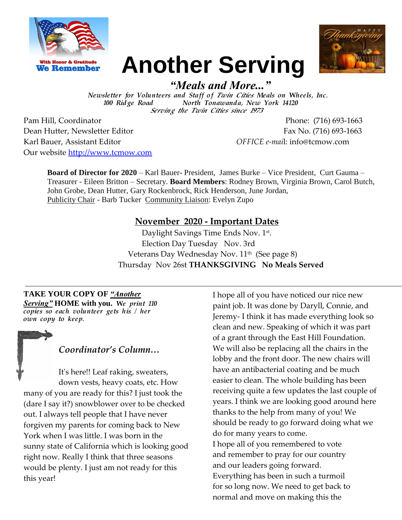



# *"Meals and More..."*

**Another Serving**

Newsletter for Volunteers and Staff of Twin Cities Meals on Wheels, Inc. 100 Ridge Road North Tonawanda, New York 14120 Serving the Twin Cities since 1973

Pam Hill, Coordinator Phone: (716) 693-1663 Dean Hutter, Newsletter Editor Fax No. (716) 693-1663 Karl Bauer, Assistant Editor *OFFICE e-mai*l: info@tcmow.com Our website [http://www.tcmow.com](http://www.tcmow.com/)

**Board of Director for 2020** – Karl Bauer- President, James Burke – Vice President, Curt Gauma – Treasurer - Eileen Britton – Secretary. **Board Members**: Rodney Brown, Virginia Brown, Carol Butch, John Grobe, Dean Hutter, Gary Rockenbrock, Rick Henderson, June Jordan, Publicity Chair - Barb Tucker Community Liaison: Evelyn Zupo

## **November 2020 - Important Dates**

Daylight Savings Time Ends Nov. 1<sup>st</sup>. Election Day Tuesday Nov. 3rd Veterans Day Wednesday Nov. 11<sup>th</sup> (See page 8) Thursday Nov 26st **THANKSGIVING No Meals Served**

#### **TAKE YOUR COPY OF** *"Another*

*Serving"* **HOME with you.** We print 110  $\overline{copies\ so}$  each volunteer gets his / her own copy to keep.

*Coordinator's Column…*

It's here!! Leaf raking, sweaters, down vests, heavy coats, etc. How many of you are ready for this? I just took the (dare I say it?) snowblower over to be checked out. I always tell people that I have never forgiven my parents for coming back to New York when I was little. I was born in the sunny state of California which is looking good right now. Really I think that three seasons would be plenty. I just am not ready for this this year!

I hope all of you have noticed our nice new paint job. It was done by Daryll, Connie, and Jeremy- I think it has made everything look so clean and new. Speaking of which it was part of a grant through the East Hill Foundation. We will also be replacing all the chairs in the lobby and the front door. The new chairs will have an antibacterial coating and be much easier to clean. The whole building has been receiving quite a few updates the last couple of years. I think we are looking good around here thanks to the help from many of you! We should be ready to go forward doing what we do for many years to come. I hope all of you remembered to vote and remember to pray for our country and our leaders going forward. Everything has been in such a turmoil for so long now. We need to get back to normal and move on making this the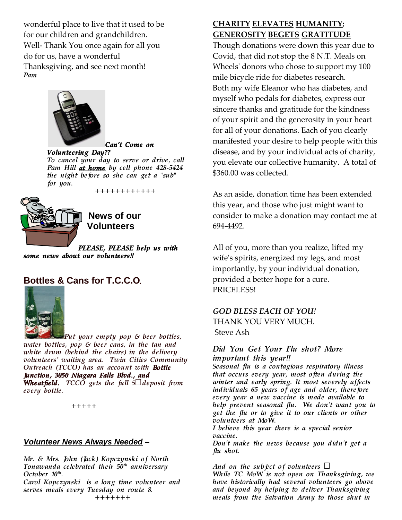wonderful place to live that it used to be for our children and grandchildren. Well- Thank You once again for all you do for us, have a wonderful Thanksgiving, and see next month! Pam



#### Can't Come on

Volunte ering Day?? To cancel your day to serve or drive, call Pam Hill at home by cell phone 428-5424 the night before so she can get a "sub" for you. ++++++++++++



**News of our Volunteers** 

PLEASE, PLEASE help us with some news about our volunteers!!

## **Bottles & Cans for T.C.C.O**.



Put your empty pop  $\mathcal S$  beer bottles, water bottles, pop  $\varepsilon$  beer cans, in the tan and white drum (behind the chairs) in the delivery volunteers' waiting area. Twin Cities Community Outreach (TCCO) has an account with Bottle Junction, 3050 Niagara Falls Blvd., and **Wheatfield.** TCCO gets the full  $5¢$  deposit from every bottle.

+++++

#### *Volunteer News Always Needed* **–**

Mr. & Mrs. John (Jack) Kopczynski of North Tonawanda celebrated their  $50<sup>th</sup>$  anniversary October  $10^{th}$ . .

Carol Kopczynski is a long time volunteer and serves meals every Tuesday on route 8. +++++++

#### **CHARITY ELEVATES HUMANITY; GENEROSITY BEGETS GRATITUDE**

Though donations were down this year due to Covid, that did not stop the 8 N.T. Meals on Wheels' donors who chose to support my 100 mile bicycle ride for diabetes research. Both my wife Eleanor who has diabetes, and myself who pedals for diabetes, express our sincere thanks and gratitude for the kindness of your spirit and the generosity in your heart for all of your donations. Each of you clearly manifested your desire to help people with this disease, and by your individual acts of charity, you elevate our collective humanity. A total of \$360.00 was collected.

As an aside, donation time has been extended this year, and those who just might want to consider to make a donation may contact me at 694-4492.

All of you, more than you realize, lifted my wife's spirits, energized my legs, and most importantly, by your individual donation, provided a better hope for a cure. PRICELESS!

#### *GOD BLESS EACH OF YOU!*

THANK YOU VERY MUCH. Steve Ash

#### Did You Get Your Flu shot? More important this year!!

Seasonal flu is a contagious respiratory illness that occurs every year, most often during the winter and early spring. It most severely affects individuals  $65$  years of age and older, therefore every year a new vaccine is made available to help prevent seasonal flu. We don't want you to get the flu or to give it to our clients or other volunteers at MoW.

I believe this year there is a special senior vaccine.

Don't make the news because you didn't get a flu shot.

#### And on the subject of volunteers  $\Box$

While TC MoW is not open on Thanksgiving, we have historically had several volunteers go above and beyond by helping to deliver Thanksgiving meals from the Salvation Army to those shut in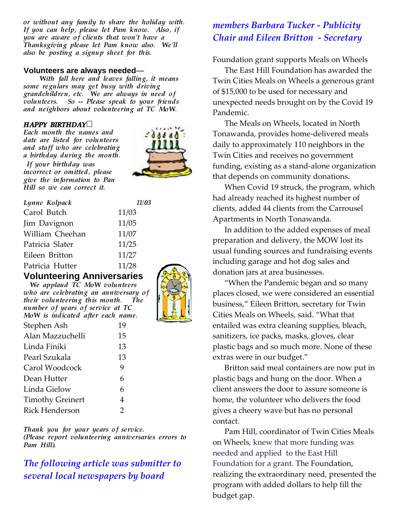or without any family to share the holiday with. If you can help, please let Pam know. Also, if you are aware of clients that won't have a Thanksgiving please let Pam know also. We'll also be posting a signup sheet for this.

#### **Volunteers are always needed**—

With fall here and leaves falling, it means some regulars may get busy with driving grandchildren, etc. We are always in need of volunteers. So -- Please speak to your friends and neighbors about volunteering at TC MoW.

#### $HAPPY$  BIRTHDAY

Each month the names and date are listed for volunteers and staff who are celebrating a birthday during the month. If your birthday was incorrect or omitted, please give the information to Pan Hill so we can correct it.



| Lynne Kolpack   | 11/03 |
|-----------------|-------|
| Carol Butch     | 11/03 |
| Jim Davignon    | 11/05 |
| William Cheehan | 11/07 |
| Patricia Slater | 11/25 |
| Eileen Britton  | 11/27 |
| Patricia Hutter | 11/28 |

#### **Volunteering Anniversaries**

We applaud TC MoW volunteers who are celebrating an anniversary of their volunteering this month. The number of years of service at TC MoW is indicated after each name.

| Stephen Ash             | 19 |
|-------------------------|----|
| Alan Mazzuchelli        | 15 |
| Linda Finiki            | 13 |
| Pearl Szukala           | 13 |
| Carol Woodcock          | 9  |
| Dean Hutter             | 6  |
| Linda Gielow            | 6  |
| <b>Timothy Greinert</b> | 4  |
| <b>Rick Henderson</b>   | 2  |

Thank you for your years of service. (Please report volunteering anniversaries errors to Pam Hill).

## *The following article was submitter to several local newspapers by board*

## *members Barbara Tucker - Publicity Chair and Eileen Britton - Secretary*

Foundation grant supports Meals on Wheels

The East Hill Foundation has awarded the Twin Cities Meals on Wheels a generous grant of \$15,000 to be used for necessary and unexpected needs brought on by the Covid 19 Pandemic.

The Meals on Wheels, located in North Tonawanda, provides home-delivered meals daily to approximately 110 neighbors in the Twin Cities and receives no government funding, existing as a stand-alone organization that depends on community donations.

When Covid 19 struck, the program, which had already reached its highest number of clients, added 44 clients from the Carrousel Apartments in North Tonawanda.

In addition to the added expenses of meal preparation and delivery, the MOW lost its usual funding sources and fundraising events including garage and hot dog sales and donation jars at area businesses.

"When the Pandemic began and so many places closed, we were considered an essential business," Eileen Britton, secretary for Twin Cities Meals on Wheels, said. "What that entailed was extra cleaning supplies, bleach, sanitizers, ice packs, masks, gloves, clear plastic bags and so much more. None of these extras were in our budget."

Britton said meal containers are now put in plastic bags and hung on the door. When a client answers the door to assure someone is home, the volunteer who delivers the food gives a cheery wave but has no personal contact.

Pam Hill, coordinator of Twin Cities Meals on Wheels, knew that more funding was needed and applied to the East Hill Foundation for a grant. The Foundation, realizing the extraordinary need, presented the program with added dollars to help fill the budget gap.

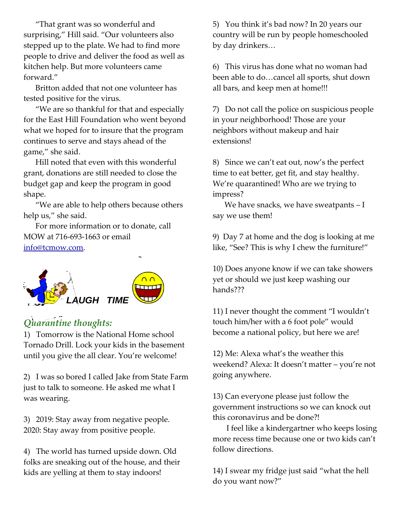"That grant was so wonderful and surprising," Hill said. "Our volunteers also stepped up to the plate. We had to find more people to drive and deliver the food as well as kitchen help. But more volunteers came forward."

Britton added that not one volunteer has tested positive for the virus.

"We are so thankful for that and especially for the East Hill Foundation who went beyond what we hoped for to insure that the program continues to serve and stays ahead of the game," she said.

Hill noted that even with this wonderful grant, donations are still needed to close the budget gap and keep the program in good shape.

"We are able to help others because others help us," she said.

For more information or to donate, call MOW at 716-693-1663 or email [info@tcmow.com.](mailto:info@tcmow.com)



# *Quarantine thoughts:*

1) Tomorrow is the National Home school Tornado Drill. Lock your kids in the basement until you give the all clear. You're welcome!

2) I was so bored I called Jake from State Farm just to talk to someone. He asked me what I was wearing.

3) 2019: Stay away from negative people. 2020: Stay away from positive people.

4) The world has turned upside down. Old folks are sneaking out of the house, and their kids are yelling at them to stay indoors!

5) You think it's bad now? In 20 years our country will be run by people homeschooled by day drinkers…

6) This virus has done what no woman had been able to do…cancel all sports, shut down all bars, and keep men at home!!!

7) Do not call the police on suspicious people in your neighborhood! Those are your neighbors without makeup and hair extensions!

8) Since we can't eat out, now's the perfect time to eat better, get fit, and stay healthy. We're quarantined! Who are we trying to impress?

We have snacks, we have sweatpants - I say we use them!

9) Day 7 at home and the dog is looking at me like, "See? This is why I chew the furniture!"

10) Does anyone know if we can take showers yet or should we just keep washing our hands???

11) I never thought the comment "I wouldn't touch him/her with a 6 foot pole" would become a national policy, but here we are!

12) Me: Alexa what's the weather this weekend? Alexa: It doesn't matter – you're not going anywhere.

13) Can everyone please just follow the government instructions so we can knock out this coronavirus and be done?!

 I feel like a kindergartner who keeps losing more recess time because one or two kids can't follow directions.

14) I swear my fridge just said "what the hell do you want now?"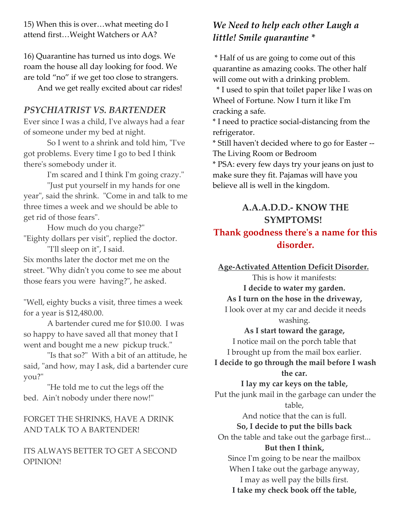15) When this is over…what meeting do I attend first…Weight Watchers or AA?

16) Quarantine has turned us into dogs. We roam the house all day looking for food. We are told "no" if we get too close to strangers.

And we get really excited about car rides!

## *PSYCHIATRIST VS. BARTENDER*

Ever since I was a child, I've always had a fear of someone under my bed at night.

So I went to a shrink and told him, "I've got problems. Every time I go to bed I think there's somebody under it.

I'm scared and I think I'm going crazy."

"Just put yourself in my hands for one year", said the shrink. "Come in and talk to me three times a week and we should be able to get rid of those fears".

How much do you charge?" "Eighty dollars per visit", replied the doctor. "I'll sleep on it", I said.

Six months later the doctor met me on the street. "Why didn't you come to see me about those fears you were having?", he asked.

"Well, eighty bucks a visit, three times a week for a year is \$12,480.00.

A bartender cured me for \$10.00. I was so happy to have saved all that money that I went and bought me a new pickup truck."

"Is that so?" With a bit of an attitude, he said, "and how, may I ask, did a bartender cure you?"

"He told me to cut the legs off the bed. Ain't nobody under there now!"

## FORGET THE SHRINKS, HAVE A DRINK AND TALK TO A BARTENDER!

#### ITS ALWAYS BETTER TO GET A SECOND OPINION!

# *We Need to help each other Laugh a little! Smile quarantine \**

\* Half of us are going to come out of this quarantine as amazing cooks. The other half will come out with a drinking problem.

 \* I used to spin that toilet paper like I was on Wheel of Fortune. Now I turn it like I'm cracking a safe.

\* I need to practice social-distancing from the refrigerator.

\* Still haven't decided where to go for Easter -- The Living Room or Bedroom

\* PSA: every few days try your jeans on just to make sure they fit. Pajamas will have you believe all is well in the kingdom.

# **A.A.A.D.D.- KNOW THE SYMPTOMS!**

## **Thank goodness there's a name for this disorder.**

**Age-Activated Attention Deficit Disorder.**

This is how it manifests:

**I decide to water my garden.**

#### **As I turn on the hose in the driveway,**

I look over at my car and decide it needs washing.

#### **As I start toward the garage,**

I notice mail on the porch table that I brought up from the mail box earlier.

**I decide to go through the mail before I wash the car.**

#### **I lay my car keys on the table,**

Put the junk mail in the garbage can under the table,

> And notice that the can is full. **So, I decide to put the bills back**

On the table and take out the garbage first...

## **But then I think,**

Since I'm going to be near the mailbox When I take out the garbage anyway, I may as well pay the bills first. **I take my check book off the table,**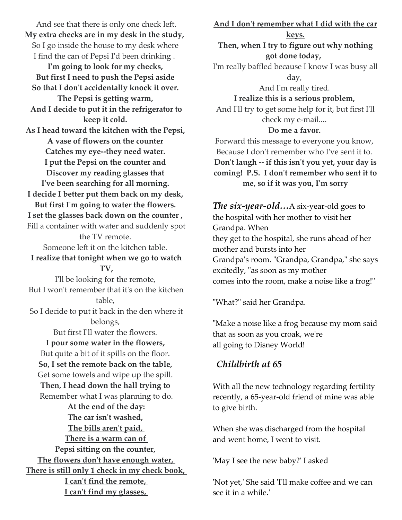And see that there is only one check left. **My extra checks are in my desk in the study,** So I go inside the house to my desk where I find the can of Pepsi I'd been drinking . **I'm going to look for my checks, But first I need to push the Pepsi aside So that I don't accidentally knock it over. The Pepsi is getting warm, And I decide to put it in the refrigerator to keep it cold. As I head toward the kitchen with the Pepsi, A vase of flowers on the counter Catches my eye--they need water. I put the Pepsi on the counter and Discover my reading glasses that I've been searching for all morning. I decide I better put them back on my desk, But first I'm going to water the flowers. I set the glasses back down on the counter ,** Fill a container with water and suddenly spot the TV remote. Someone left it on the kitchen table. **I realize that tonight when we go to watch TV,** I'll be looking for the remote, But I won't remember that it's on the kitchen table, So I decide to put it back in the den where it belongs, But first I'll water the flowers. **I pour some water in the flowers,** But quite a bit of it spills on the floor. **So, I set the remote back on the table,** Get some towels and wipe up the spill. **Then, I head down the hall trying to** Remember what I was planning to do. **At the end of the day: The car isn't washed, The bills aren't paid, There is a warm can of Pepsi sitting on the counter, The flowers don't have enough water, There is still only 1 check in my check book, I can't find the remote,**

**I can't find my glasses,**

**And I don't remember what I did with the car keys. Then, when I try to figure out why nothing got done today,** I'm really baffled because I know I was busy all day, And I'm really tired. **I realize this is a serious problem,** And I'll try to get some help for it, but first I'll check my e-mail.... **Do me a favor.** Forward this message to everyone you know, Because I don't remember who I've sent it to. **Don't laugh -- if this isn't you yet, your day is coming! P.S. I don't remember who sent it to me, so if it was you, I'm sorry** *The six-year-old…*A six-year-old goes to

the hospital with her mother to visit her Grandpa. When they get to the hospital, she runs ahead of her mother and bursts into her Grandpa's room. "Grandpa, Grandpa," she says excitedly, "as soon as my mother comes into the room, make a noise like a frog!"

"What?" said her Grandpa.

"Make a noise like a frog because my mom said that as soon as you croak, we're all going to Disney World!

## *Childbirth at 65*

With all the new technology regarding fertility recently, a 65-year-old friend of mine was able to give birth.

When she was discharged from the hospital and went home, I went to visit.

'May I see the new baby?' I asked

'Not yet,' She said 'I'll make coffee and we can see it in a while.'